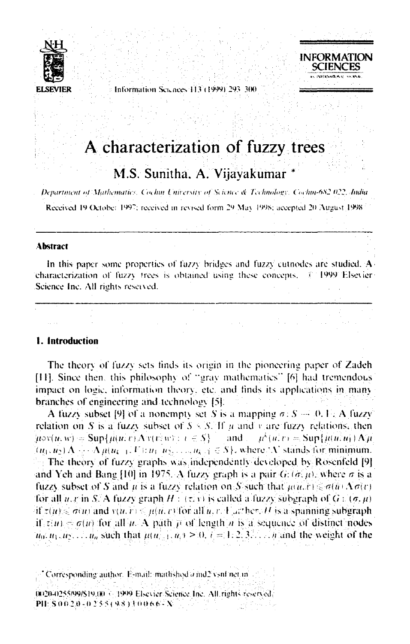

Information Seicnees 113 (1999) 293-300

# **INFORMATION SCIENCES** OFFENAMENT SEPART

# A characterization of fuzzy trees

# M.S. Sunitha, A. Vijavakumar

Department of Mathematics. Cochin University of Science & Technology. Cochin-682 022, India

Received 19 October 1997; received in revised form 29 May 1998; accepted 20 August 1998

### **Abstract**

In this paper some properties of fuzzy bridges and fuzzy cutnodes are studied. A characterization of fuzzy trees is obtained using these concepts. C 1999 Elsevier Science Inc. All rights reserved.

# 1. Introduction

The theory of fuzzy sets finds its origin in the pioneering paper of Zadeh [11]. Since then, this philosophy of "gray mathematics" [6] had tremendous impact on logic, information theory, etc. and finds its applications in many branches of engineering and technology [5].

A fuzzy subset [9] of a nonempty set S is a mapping  $\sigma: S \rightarrow [0, 1]$ . A fuzzy relation on S is a fuzzy subset of  $S \times S$ . If u and v are fuzzy relations, then  $\mu \circ v(u, w) = \text{Sup} \{ \mu(u, v) \Lambda v(v, w) : v \in S \}$  and  $\mu^k(u, v) = \text{Sup} \{ \mu(u, u) \Lambda \mu \}$  $(u_1, u_2) \Lambda \cdots \Lambda \mu(u_{k-1}, V)$ :  $u_1, u_2, \ldots, u_{k-1} \in S$ , where  $\Lambda$  stands for minimum. The theory of fuzzy graphs was independently developed by Rosenfeld [9] and Yeh and Bang [10] in 1975. A fuzzy graph is a pair  $G$ :  $(\sigma, \mu)$ , where  $\sigma$  is a fuzzy subset of S and  $\mu$  is a fuzzy relation on S such that  $\mu(u, v) \leq \sigma(u) \Lambda \sigma(v)$ for all u, r in S. A fuzzy graph  $H : (\tau, y)$  is called a fuzzy subgraph of  $G : (\sigma, \mu)$ if  $\tau(u) \leq \sigma(u)$  and  $v(u, v) \leq \mu(u, v)$  for all  $u, v, V$  at here H is a spanning subgraph if  $t(u) \neq \sigma(u)$  for all  $u \Delta$  path  $p$  of length *n* is a sequence of distinct nodes  $u_0, u_1, u_2, \ldots, u_n$  such that  $\mu(u_{i-1}, u_i) \geq 0$ ,  $i = 1, 2, 3, \ldots, n$  and the weight of the

Corresponding author. E-mail: mathshod a md2 vsnl net in 0020-0255/99/\$19.00 < 1999 Elsevier Science Inc. All rights reserved. PII: S0020-0255(98)10066-X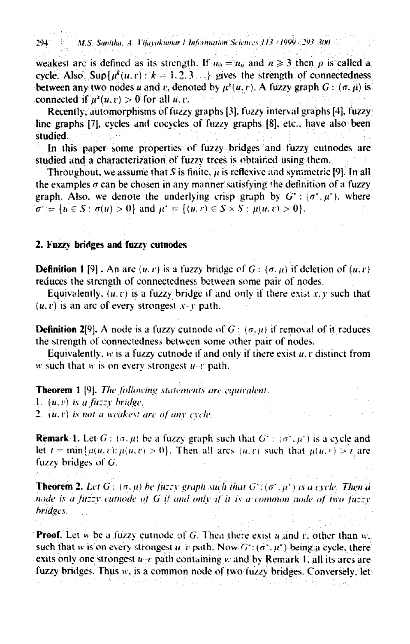weakest arc is defined as its strength. If  $u_0 = u_n$  and  $n \ge 3$  then  $\rho$  is called a cycle. Also. Sup $\{\mu^k(u, v) : k = 1, 2, 3 \ldots\}$  gives the strength of connectedness between any two nodes u and v, denoted by  $\mu^{\chi}(u,v)$ . A fuzzy graph  $G: (\sigma, \mu)$  is connected if  $\mu^{2}(u, v) > 0$  for all u.v.

Recently, automorphisms of fuzzy graphs [3], fuzzy interval graphs [4], fuzzy line graphs  $[7]$ , cycles and cocycles of fuzzy graphs  $[8]$ , etc., have also been studied.

In this paper-some-properties of fuzzy bridges and fuzzy cutnodes are studied and a characterization of fuzzy trees is obtained using them.

Throughout, we assume that  $S$  is finite,  $\mu$  is reflexive and symmetric [9]. In all the examples  $\sigma$  can be chosen in any manner satisfying the definition of a fuzzy graph. Also, we denote the underlying crisp graph by  $G^*$ :  $(\sigma^*, \mu^*)$ , where  $\sigma^* = \{u \in S : \sigma(u) > 0\}$  and  $\mu^* = \{(u, v) \in S \times S : \mu(u, v) > 0\}.$ 

## 2. Fuzzy bridges and fuzzy cutnodes

**Definition 1** [9]. An arc  $(u, r)$  is a fuzzy bridge of G:  $(\sigma, u)$  if deletion of  $(u, r)$ reduces the strength of connectedness between some pair of nodes.

Equivalently,  $(u, v)$  is a fuzzy bridge if and only if there exist  $x, y$  such that  $(u, v)$  is an arc of every strongest  $x-y$  path.

**Definition 2[9].** A node is a fuzzy cutnode of  $G: (\sigma, u)$  if removal of it reduces the strength of connectedness between some other pair of nodes.

Equivalently,  $w$  is a fuzzy cutnode if and only if there exist  $u, v$  distinct from w such that w is on every strongest  $u-v$  path.

TheoremI (9]. *The [ollowing statements arc equivalent,*

1.  $(u, v)$  *is a fuzzy bridge.* 

*2. iu.r) is not a weakest arc ofan» cvclc,*

**Remark 1.** Let  $G: (\sigma, \mu)$  be a fuzzy graph such that  $G^* : (\sigma^*, \mu^*)$  is a cycle and let  $t = \min\{\mu(u, v): \mu(u, v) > 0\}$ . Then all arcs  $(u, v)$  such that  $\mu(u, v) > t$  are fuzzy bridges of *G.*

**Theorem 2.** Let G:  $(\sigma, \mu)$  be fuzzy graph such that  $G^*(\sigma^*, \mu^*)$  is a cycle. Then a *node is a* fuzzy cutnode of G if and only if it is a common node of two fuzzy *bridges.*

**Proof.** Let  $w$  be a fuzzy cutnode of G. Then there exist  $u$  and  $v$ , other than  $w$ , such that w is on every strongest  $u-v$  path. Now  $G: (\sigma^2, u^r)$  being a cycle, there exits only one strongest  $u-t$  path containing w and by Remark I. all its arcs are fuzzy bridges. Thus w, is a common node of two fuzzy bridges. Conversely, let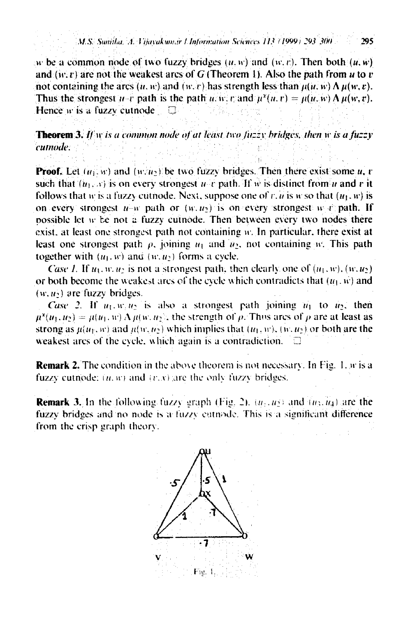#### M.S. Sunitha, A. Vijayakumar I Information Sciences 113 (1999) 293 300 295

w be a common node of two fuzzy bridges  $(u, w)$  and  $(w, v)$ . Then both  $(u, w)$ and  $(w, v)$  are not the weakest arcs of G (Theorem 1). Also the path from u to v not containing the arcs  $(u, w)$  and  $(w, v)$  has strength less than  $\mu(u, w) \Lambda \mu(w, v)$ . Thus the strongest  $u-v$  path is the path  $u, w, v$  and  $\mu^2(u, v) = \mu(u, w) \Lambda \mu(w, v)$ . Hence w is a fuzzy cutnode  $\Box$ 

**Theorem 3.** If w is a common node of at least two fuzzy bridges, then w is a fuzzy cumode.

**Proof.** Let  $(u_1, w)$  and  $(w, u_2)$  be two fuzzy bridges. Then there exist some u, r such that  $(u_1, x)$  is on every strongest u-c path. If w is distinct from u and c it follows that w is a fuzzy cutnode. Next, suppose one of r, u is w so that  $(u_1, w)$  is on every strongest  $u-w$  path or  $(w, u_2)$  is on every strongest w r path. If possible let w be not a fuzzy cutnode. Then between every two nodes there exist, at least one strongest path not containing w. In particular, there exist at least one strongest path  $\rho$ , joining  $u_1$  and  $u_2$ , not containing w. This path together with  $(u_1, w)$  and  $(w, u_2)$  forms a cycle.

Case 1. If  $u_1, w, u_2$  is not a strongest path, then clearly one of  $(u_1, w)$ ,  $(w, u_2)$ or both become the weakest arcs of the evole which contradicts that  $(u_1, w)$  and  $(w, u_2)$  are fuzzy bridges.

Case 2. If  $u_1, w_1u_2$  is also a strongest path joining  $u_1$  to  $u_2$ , then  $\mu^2(u_1, u_2) = \mu(u_1, u) \Lambda \mu(w, u_2)$ , the strength of  $\rho$ . Thus arcs of  $\rho$  are at least as strong as  $\mu(u_1, w)$  and  $\mu(w, u_2)$  which implies that  $(u_1, w)$ ,  $(w, u_2)$  or both are the weakest arcs of the cycle, which again is a contradiction. a

**Remark 2.** The condition in the above theorem is not necessary. In Fig. 1, w is a fuzzy cutnode;  $(u, w)$  and  $(v, x)$  are the only fuzzy bridges.

**Remark 3.** In the following fuzzy graph (Fig. 2),  $(u_1, u_2)$  and  $(u_3, u_4)$  are the fuzzy bridges and no node is a fuzzy cathode. This is a significant difference from the crisp graph theory.

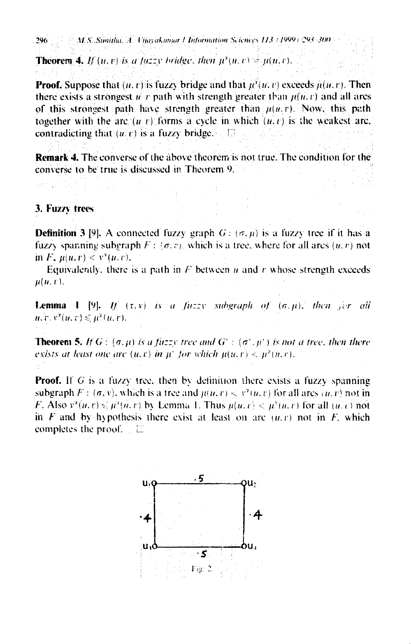296 M.S. Sunitha, A. Vitavakumar / Information Sciences 113 (1999) 293-300

**Theorem 4.** If  $(u, v)$  is a fuzzy bridge, then  $\mu^2(u, v) = \mu(u, v)$ .

**Proof.** Suppose that  $(u, v)$  is fuzzy bridge and that  $u^2(u, v)$  exceeds  $u(u, v)$ . Then there exists a strongest  $u$  r path with strength greater than  $\mu(u, v)$  and all arcs of this strongest path have strength greater than  $\mu(u, v)$ . Now, this path together with the arc  $(u, v)$  forms a cycle in which  $(u, v)$  is the weakest arc. contradicting that  $(u, v)$  is a fuzzy bridge.  $\Box$ 

**Remark 4.** The converse of the above theorem is not true. The condition for the converse to be true is discussed in Theorem 9.

## 3. Fuzzy trees

**Definition 3** [9]. A connected fuzzy graph  $G: (\sigma, \mu)$  is a fuzzy tree if it has a fuzzy spanning subgraph  $F : (\sigma, v)$ , which is a tree, where for all arcs  $(u, v)$  not in  $F$ ,  $u(u, v) < v^{\alpha}(u, v)$ .

Equivalently, there is a path in  $F$  between  $u$  and  $r$  whose strength exceeds  $u(u, v)$ .

**Lemma** 1 [9]. If  $(\tau, y)$  is a fuzzy subgraph of  $(\sigma, \mu)$ , then  $\forall x \in \partial \mathcal{U}$  $u, v, v^2(u, v) \leq \mu^2(u, v).$ 

**Theorem 5.** If  $G$ :  $(\sigma, \mu)$  is a fuzzy tree and  $G^*$ :  $(\sigma^*, \mu^*)$  is not a tree, then there exists at least one arc  $(u, v)$  in  $\mu^*$  for which  $\mu(u, v) < \mu^2(u, v)$ .

**Proof.** If G is a fuzzy tree, then by definition there exists a fuzzy spanning subgraph  $F : (\sigma, v)$ , which is a tree and  $\mu(u, v) < v^2(u, v)$  for all arcs  $(u, v)$  not in *F.* Also  $y^2(u, v) \le u^2(u, v)$  by Lemma 1. Thus  $u(u, v) \le u^2(u, v)$  for all  $(u, v)$  not in F and by hypothesis there exist at least on arc  $(u, v)$  not in F, which completes the proof.  $\Box$   $\Box$ 

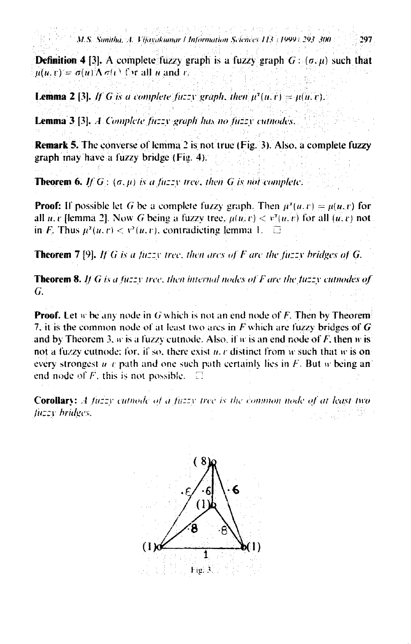297

**Definition 4** [3]. A complete fuzzy graph is a fuzzy graph  $G: (\sigma, \mu)$  such that  $\mu(u, v) = \sigma(u) \Lambda \sigma(v)$  for all u and v.

**Lemma 2** [3]. If G is a complete fuzzy graph, then  $\mu^2(u, v) = \mu(u, v)$ .

**Lemma 3** [3], A Complete fuzzy graph has no fuzzy cutnodes.

**Remark 5.** The converse of lemma 2 is not true (Fig. 3). Also, a complete fuzzy graph may have a fuzzy bridge (Fig. 4).

**Theorem 6.** If  $G$ :  $(\sigma, \mu)$  is a fuzzy tree, then G is not complete.

**Proof:** If possible let G be a complete fuzzy graph. Then  $\mu^2(u, v) = \mu(u, v)$  for all u, r [lemma 2]. Now G being a fuzzy tree,  $\mu(u, v) < v^x(u, v)$  for all  $(u, v)$  not in *F*. Thus  $\mu^2(u, v) < v^2(u, v)$ , contradicting lemma 1.  $\Box$ 

**Theorem 7** [9]. If G is a fuzzy tree, then arcs of F are the fuzzy bridges of G.

**Theorem 8.** If G is a fuzzy tree, then internal nodes of F are the fuzzy cutnodes of G.

**Proof.** Let w be any node in G which is not an end node of F. Then by Theorem 7, it is the common node of at least two arcs in  $F$  which are fuzzy bridges of  $G$ and by Theorem 3,  $w$  is a fuzzy cutnode. Also, if  $w$  is an end node of  $F$ , then  $w$  is not a fuzzy cutnode; for, if so, there exist  $u, v$  distinct from  $w$  such that  $w$  is on every strongest u c path and one such path certainly lies in F. But w being an end node of  $F$ , this is not possible. T

**Corollary:** A fuzzy cutnode of a fuzzy tree is the common node of at least two fuzzy bridges.

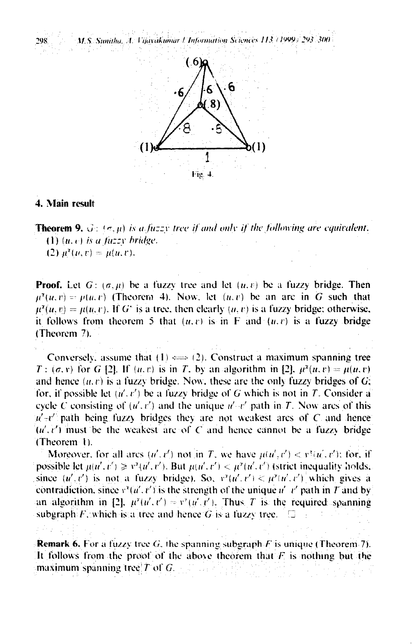:!98\/.*S.";lIl1itlw. A. /·iia"ikIlIllUr/ll1/imlltltit./t Scicncos* //3 ( NlJl))' :!lJ3.WO



## 4. Main result

**Theorem 9.**  $\Im$ :  $\langle \sigma, \mu \rangle$  *is a fuzzy tree if and only if the following are equivalent.*  $(1)$   $(u, e)$  *is a fuzzy bridge.* (2)  $\mu^2(u, v) = \mu(u, v).$ 

**Proof.** Let  $G: (\sigma, \mu)$  be a fuzzy tree and let  $(u, v)$  be a fuzzy bridge. Then  $\mu^2(u, v) = \mu(u, v)$  (Theorem 4). Now, let  $(u, v)$  be an arc in G such that  $\mu^2(u, v) = \mu(u, v)$ . If G<sup>\*</sup> is a tree, then clearly  $(u, v)$  is a fuzzy bridge: otherwise, it follows from theorem 5 that  $(u, v)$  is in F and  $(u, v)$  is a fuzzy bridge (Theorem 7).

Conversely, assume that  $(1) \iff (2)$ . Construct a maximum spanning tree  $T: (\sigma, v)$  for G [2]. If  $(u, v)$  is in T, by an algorithm in [2],  $\mu^2(u, v) = \mu(u, v)$ and hence  $(u, v)$  is a fuzzy bridge. Now, these are the only fuzzy bridges of  $G$ ; for, if possible let  $(u', v')$  be a fuzzy bridge of G which is not in T. Consider a cycle C consisting of  $(u', v')$  and the unique  $u' \cdot v'$  path in T. Now arcs of this  $u'$ ,  $v'$  path being fuzzy bridges they are not weakest arcs of C and hence  $(u', v')$  must be the weakest arc of C and hence cannot be a fuzzy bridge (Theorem I).

Moreover, for all arcs  $(u', v')$  not in *T*, we have  $\mu(u', v') < v^{\tau}(u', v')$ ; for, if possible let  $\mu(u', v') \geq v^2(u', v')$ . But  $\mu(u', v') < \mu^2(u', v')$  (strict inequality holds, since  $(u', v')$  is not a fuzzy bridge). So,  $v'(u', v') < \mu'(u', v')$  which gives a contradiction, since  $y^2(u', t')$  is the strength of the unique  $u'$   $t'$  path in T and by an algorithm in [2].  $\mu^2(u',t') = v'(u',t')$ . Thus T is the required spanning subgraph:  $F$ , which is a tree and hence  $G$  is a fuzzy tree.

**Remark 6.** For a fuzzy tree G, the spanning subgraph F is unique (Theorem 7). It follows from the proof of the above theorem that  $F_i$  is nothing but the maximum spanning tree  $T$  of  $G$ .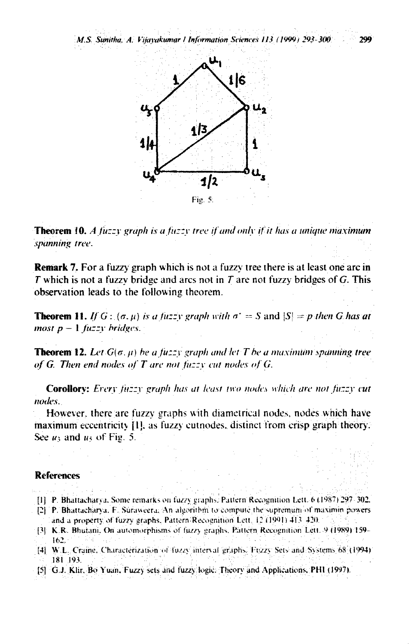

**Theorem 10.** A fuzzy graph is a fuzzy tree if and only if it has a unique maximum spanning tree.

**Remark 7.** For a fuzzy graph which is not a fuzzy tree there is at least one arc in  $T$  which is not a fuzzy bridge and arcs not in  $T$  are not fuzzy bridges of  $G$ . This observation leads to the following theorem.

**Theorem 11.** If  $G: (\sigma, \mu)$  is a fuzzy graph with  $\sigma' = S$  and  $|S| = p$  then G has at most  $p-1$  fuzzy bridges.

**Theorem 12.** Let  $G(\sigma, \mu)$  be a fuzzy graph and let T be a maximum spanning tree of G. Then end nodes of T are not fuzzy cut nodes of  $G$ .

Corollory: Every fuzzy graph has at least two nodes which are not fuzzy cut nodes.

However, there are fuzzy graphs with diametrical nodes, nodes which have maximum eccentricity [1], as fuzzy cutnodes, distinct from crisp graph theory. See  $u_3$  and  $u_5$  of Fig. 5.

## **References**

- [1] P. Bhattacharva, Some remarks on fuzzy graphs, Pattern Recognition Lett. 6 (1987) 297-302.
- [2] P. Bhattacharya, F. Suraweera, An algorithm to compute the supremum of maximin powers and a property of fuzzy graphs. Pattern Recognition Lett, 12 (1991) 413-420.
- [3] K.R. Bhutani, On automorphisms of fuzzy graphs, Pattern Recognition Lett. 9 (1989) 159- $162.$
- [4] W.L. Craine, Characterization of fuzzy interval graphs. Fuzzy Sets and Systems 68 (1994) 181 193.
- [5] G.J. Klir, Bo Yuan, Fuzzy sets and fuzzy logic. Theory and Applications, PHI (1997).

299